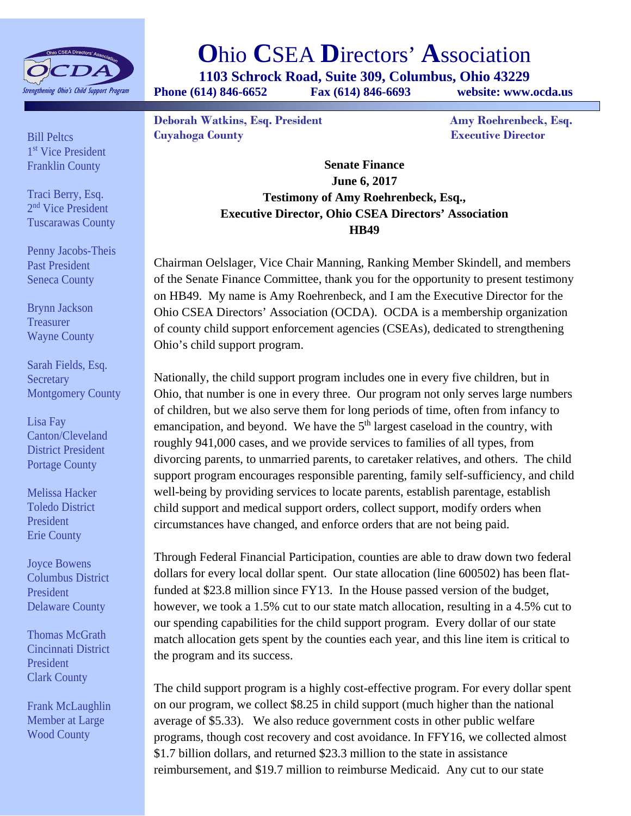

## **O**hio **C**SEA **D**irectors' **A**ssociation

**1103 Schrock Road, Suite 309, Columbus, Ohio 43229** 

**Phone (614) 846-6652 Fax (614) 846-6693 website: www.ocda.us** 

**Deborah Watkins, Esq. President Amy Roehrenbeck, Esq. Cuyahoga County Executive Director** 

Bill Peltcs 1<sup>st</sup> Vice President Franklin County

Traci Berry, Esq. 2<sup>nd</sup> Vice President Tuscarawas County

Penny Jacobs-Theis Past President Seneca County

Brynn Jackson **Treasurer** Wayne County

Sarah Fields, Esq. **Secretary** Montgomery County

Lisa Fay Canton/Cleveland District President Portage County

Melissa Hacker Toledo District President Erie County

Joyce Bowens Columbus District President Delaware County

Thomas McGrath Cincinnati District President Clark County

Frank McLaughlin Member at Large Wood County

**Senate Finance June 6, 2017 Testimony of Amy Roehrenbeck, Esq., Executive Director, Ohio CSEA Directors' Association HB49** 

Chairman Oelslager, Vice Chair Manning, Ranking Member Skindell, and members of the Senate Finance Committee, thank you for the opportunity to present testimony on HB49. My name is Amy Roehrenbeck, and I am the Executive Director for the Ohio CSEA Directors' Association (OCDA). OCDA is a membership organization of county child support enforcement agencies (CSEAs), dedicated to strengthening Ohio's child support program.

Nationally, the child support program includes one in every five children, but in Ohio, that number is one in every three. Our program not only serves large numbers of children, but we also serve them for long periods of time, often from infancy to emancipation, and beyond. We have the  $5<sup>th</sup>$  largest caseload in the country, with roughly 941,000 cases, and we provide services to families of all types, from divorcing parents, to unmarried parents, to caretaker relatives, and others. The child support program encourages responsible parenting, family self-sufficiency, and child well-being by providing services to locate parents, establish parentage, establish child support and medical support orders, collect support, modify orders when circumstances have changed, and enforce orders that are not being paid.

Through Federal Financial Participation, counties are able to draw down two federal dollars for every local dollar spent. Our state allocation (line 600502) has been flatfunded at \$23.8 million since FY13. In the House passed version of the budget, however, we took a 1.5% cut to our state match allocation, resulting in a 4.5% cut to our spending capabilities for the child support program. Every dollar of our state match allocation gets spent by the counties each year, and this line item is critical to the program and its success.

The child support program is a highly cost-effective program. For every dollar spent on our program, we collect \$8.25 in child support (much higher than the national average of \$5.33). We also reduce government costs in other public welfare programs, though cost recovery and cost avoidance. In FFY16, we collected almost \$1.7 billion dollars, and returned \$23.3 million to the state in assistance reimbursement, and \$19.7 million to reimburse Medicaid. Any cut to our state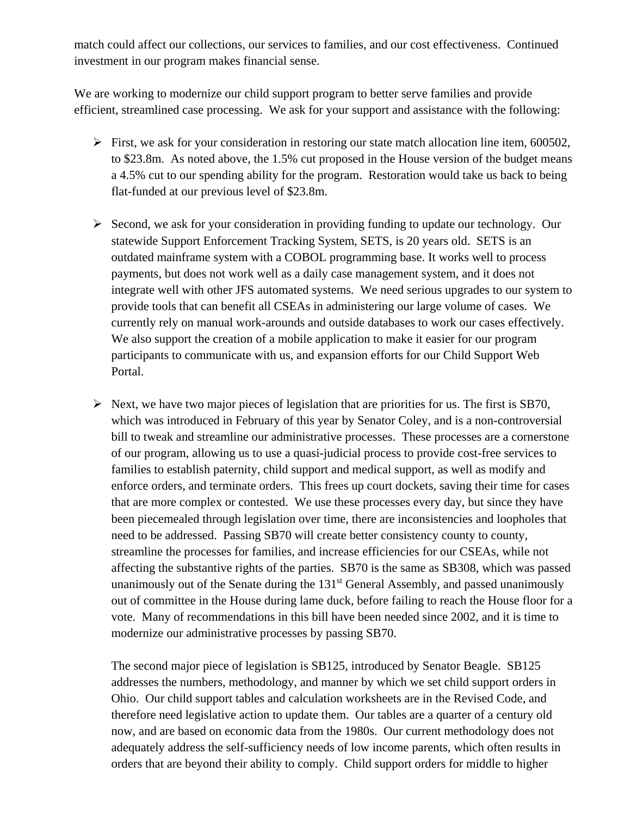match could affect our collections, our services to families, and our cost effectiveness. Continued investment in our program makes financial sense.

We are working to modernize our child support program to better serve families and provide efficient, streamlined case processing. We ask for your support and assistance with the following:

- $\triangleright$  First, we ask for your consideration in restoring our state match allocation line item, 600502, to \$23.8m. As noted above, the 1.5% cut proposed in the House version of the budget means a 4.5% cut to our spending ability for the program. Restoration would take us back to being flat-funded at our previous level of \$23.8m.
- $\triangleright$  Second, we ask for your consideration in providing funding to update our technology. Our statewide Support Enforcement Tracking System, SETS, is 20 years old. SETS is an outdated mainframe system with a COBOL programming base. It works well to process payments, but does not work well as a daily case management system, and it does not integrate well with other JFS automated systems. We need serious upgrades to our system to provide tools that can benefit all CSEAs in administering our large volume of cases. We currently rely on manual work-arounds and outside databases to work our cases effectively. We also support the creation of a mobile application to make it easier for our program participants to communicate with us, and expansion efforts for our Child Support Web Portal.
- $\triangleright$  Next, we have two major pieces of legislation that are priorities for us. The first is SB70, which was introduced in February of this year by Senator Coley, and is a non-controversial bill to tweak and streamline our administrative processes. These processes are a cornerstone of our program, allowing us to use a quasi-judicial process to provide cost-free services to families to establish paternity, child support and medical support, as well as modify and enforce orders, and terminate orders. This frees up court dockets, saving their time for cases that are more complex or contested. We use these processes every day, but since they have been piecemealed through legislation over time, there are inconsistencies and loopholes that need to be addressed. Passing SB70 will create better consistency county to county, streamline the processes for families, and increase efficiencies for our CSEAs, while not affecting the substantive rights of the parties. SB70 is the same as SB308, which was passed unanimously out of the Senate during the  $131<sup>st</sup>$  General Assembly, and passed unanimously out of committee in the House during lame duck, before failing to reach the House floor for a vote. Many of recommendations in this bill have been needed since 2002, and it is time to modernize our administrative processes by passing SB70.

The second major piece of legislation is SB125, introduced by Senator Beagle. SB125 addresses the numbers, methodology, and manner by which we set child support orders in Ohio. Our child support tables and calculation worksheets are in the Revised Code, and therefore need legislative action to update them. Our tables are a quarter of a century old now, and are based on economic data from the 1980s. Our current methodology does not adequately address the self-sufficiency needs of low income parents, which often results in orders that are beyond their ability to comply. Child support orders for middle to higher